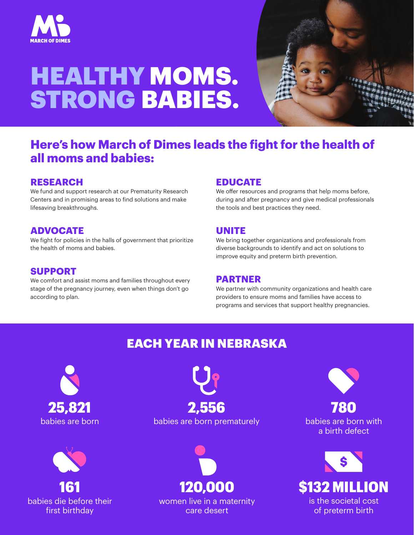

# HEALTHY MOMS. STRONG BABIES.



## **Here's how March of Dimes leads the fight for the health of all moms and babies:**

#### **RESEARCH**

We fund and support research at our Prematurity Research Centers and in promising areas to find solutions and make lifesaving breakthroughs.

### **ADVOCATE**

We fight for policies in the halls of government that prioritize the health of moms and babies.

#### **SUPPORT**

We comfort and assist moms and families throughout every stage of the pregnancy journey, even when things don't go according to plan.

#### **EDUCATE**

We offer resources and programs that help moms before, during and after pregnancy and give medical professionals the tools and best practices they need.

#### **UNITE**

We bring together organizations and professionals from diverse backgrounds to identify and act on solutions to improve equity and preterm birth prevention.

#### **PARTNER**

We partner with community organizations and health care providers to ensure moms and families have access to programs and services that support healthy pregnancies.

## EACH YEAR IN NEBRASKA





babies are born babies are born prematurely 25,821 2,556



women live in a maternity care desert

780

babies are born with a birth defect



of preterm birth